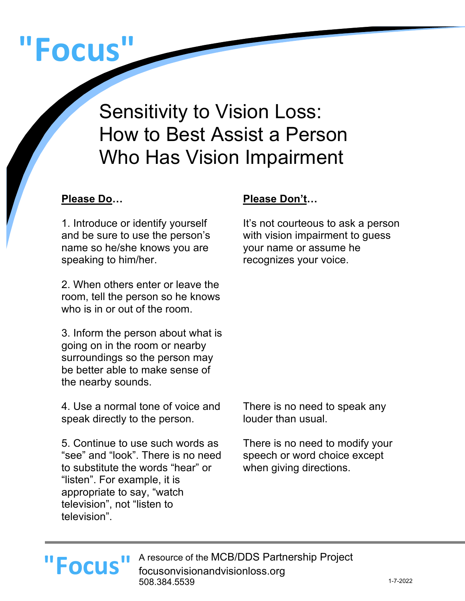# **"Focus"**

Sensitivity to Vision Loss: How to Best Assist a Person Who Has Vision Impairment

1. Introduce or identify yourself and be sure to use the person's name so he/she knows you are speaking to him/her.

2. When others enter or leave the room, tell the person so he knows who is in or out of the room.

3. Inform the person about what is going on in the room or nearby surroundings so the person may be better able to make sense of the nearby sounds.

4. Use a normal tone of voice and speak directly to the person.

5. Continue to use such words as "see" and "look". There is no need to substitute the words "hear" or "listen". For example, it is appropriate to say, "watch television", not "listen to television".

### **Please Do… Please Don't…**

It's not courteous to ask a person with vision impairment to guess your name or assume he recognizes your voice.

There is no need to speak any louder than usual.

There is no need to modify your speech or word choice except when giving directions.

## **"Focus"**

A resource of the MCB/DDS Partnership Project focusonvisionandvisionloss.org 508.384.5539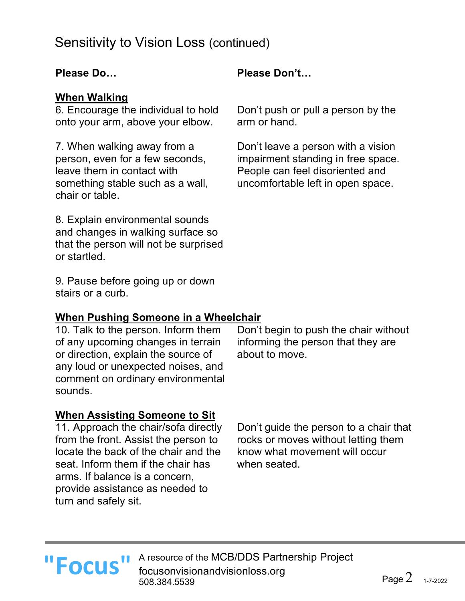### **When Walking**

6. Encourage the individual to hold onto your arm, above your elbow.

7. When walking away from a person, even for a few seconds, leave them in contact with something stable such as a wall, chair or table.

8. Explain environmental sounds and changes in walking surface so that the person will not be surprised or startled.

9. Pause before going up or down stairs or a curb.

### **When Pushing Someone in a Wheelchair**

10. Talk to the person. Inform them of any upcoming changes in terrain or direction, explain the source of any loud or unexpected noises, and comment on ordinary environmental sounds.

### **When Assisting Someone to Sit**

11. Approach the chair/sofa directly from the front. Assist the person to locate the back of the chair and the seat. Inform them if the chair has arms. If balance is a concern, provide assistance as needed to turn and safely sit.

Don't guide the person to a chair that rocks or moves without letting them know what movement will occur when seated.

Don't begin to push the chair without informing the person that they are

about to move.

### **Please Do… Please Don't…**

Don't push or pull a person by the arm or hand.

Don't leave a person with a vision impairment standing in free space. People can feel disoriented and uncomfortable left in open space.

A resource of the MCB/DDS Partnership Project **"Focus "** A resource of the MCB/DDS Partn focusonvisionandvisionloss.org 508.384.5539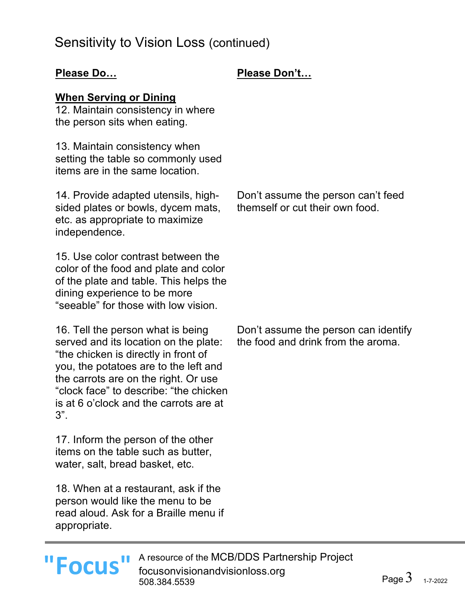### **Please Do… Please Don't…**

### **When Serving or Dining**

12. Maintain consistency in where the person sits when eating.

13. Maintain consistency when setting the table so commonly used items are in the same location.

14. Provide adapted utensils, highsided plates or bowls, dycem mats, etc. as appropriate to maximize independence.

15. Use color contrast between the color of the food and plate and color of the plate and table. This helps the dining experience to be more "seeable" for those with low vision.

16. Tell the person what is being served and its location on the plate: "the chicken is directly in front of you, the potatoes are to the left and the carrots are on the right. Or use "clock face" to describe: "the chicken is at 6 o'clock and the carrots are at 3".

17. Inform the person of the other items on the table such as butter, water, salt, bread basket, etc.

18. When at a restaurant, ask if the person would like the menu to be read aloud. Ask for a Braille menu if appropriate.

### Don't assume the person can't feed themself or cut their own food.

Don't assume the person can identify the food and drink from the aroma.

A resource of the MCB/DDS Partnership Project **"Focus "** A resource of the MCB/DDS Partn focusonvisionandvisionloss.org 508.384.5539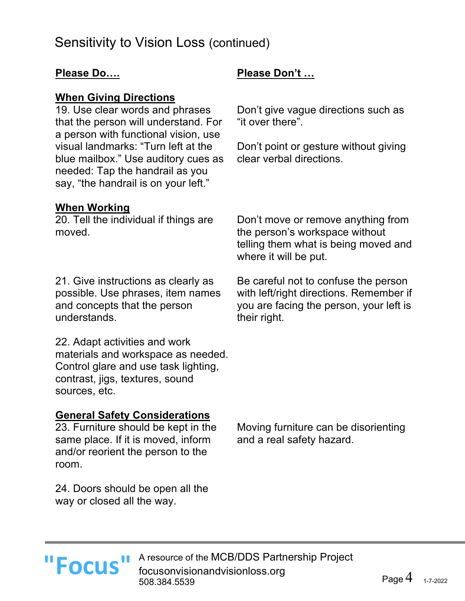### **When Giving Directions**

19. Use clear words and phrases that the person will understand. For a person with functional vision, use visual landmarks: "Turn left at the blue mailbox." Use auditory cues as needed: Tap the handrail as you say, "the handrail is on your left."

### **Please Do…. Please Don't …**

Don't give vague directions such as "it over there".

Don't point or gesture without giving clear verbal directions.

### **When Working**

20. Tell the individual if things are moved.

21. Give instructions as clearly as possible. Use phrases, item names and concepts that the person understands.

22. Adapt activities and work materials and workspace as needed. Control glare and use task lighting, contrast, jigs, textures, sound sources, etc.

### **General Safety Considerations**

23. Furniture should be kept in the same place. If it is moved, inform and/or reorient the person to the room.

24. Doors should be open all the way or closed all the way.

Don't move or remove anything from the person's workspace without telling them what is being moved and where it will be put.

Be careful not to confuse the person with left/right directions. Remember if you are facing the person, your left is their right.

Moving furniture can be disorienting and a real safety hazard.

A resource of the MCB/DDS Partnership Project **"Focus "** A resource of the MCB/DDS Partn focusonvisionandvisionloss.org 508.384.5539